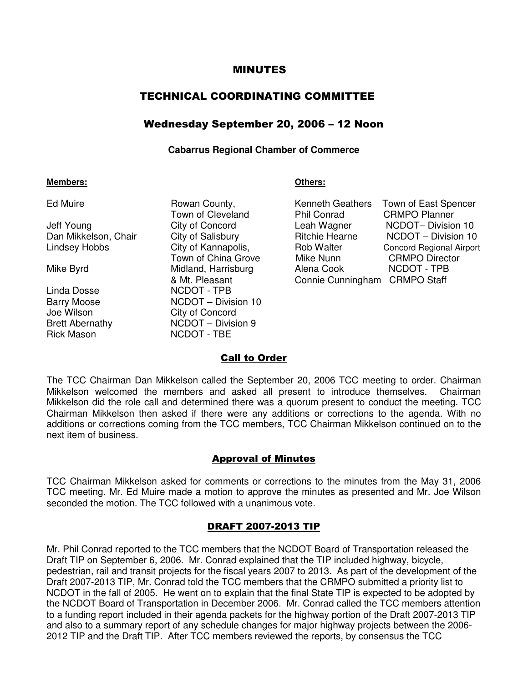#### MINUTES

# TECHNICAL COORDINATING COMMITTEE

# Wednesday September 20, 2006 – 12 Noon

#### **Cabarrus Regional Chamber of Commerce**

#### **Members: Others:**

| Jeff Young<br>Dan Mikkelson, Chair<br>Lindsey Hobbs |  |
|-----------------------------------------------------|--|
| Mike Byrd                                           |  |
| Linda Dosse<br>Barry Moose<br>Joe Wilson            |  |

Ed Muire **Rowan County**, Kenneth Geathers County, Kenneth County and Repeathers Spencers Spencers Town of Cleveland Town of Cleveland City of Concord Lea Town of China Grove M Midland, Harrisburg **Alena Cook Alena Cook Alexa Cook Alex** & Mt. Pleasant Connie Cunn NCDOT - TPB NCDOT – Division 10 City of Concord Brett Abernathy NCDOT – Division 9 Rick Mason NCDOT - TBE

| Ed Muire             | Rowan County,       | Kenneth Geathers      | Town of East Spencer            |
|----------------------|---------------------|-----------------------|---------------------------------|
|                      | Town of Cleveland   | Phil Conrad           | <b>CRMPO Planner</b>            |
| Jeff Young           | City of Concord     | Leah Wagner           | NCDOT-Division 10               |
| Dan Mikkelson, Chair | City of Salisbury   | <b>Ritchie Hearne</b> | NCDOT - Division 10             |
| Lindsey Hobbs        | City of Kannapolis, | <b>Rob Walter</b>     | <b>Concord Regional Airport</b> |
|                      | Town of China Grove | Mike Nunn             | <b>CRMPO Director</b>           |
| Mike Byrd            | Midland, Harrisburg | Alena Cook            | NCDOT - TPB                     |
|                      | & Mt. Pleasant      | Connie Cunningham     | <b>CRMPO Staff</b>              |

## Call to Order

The TCC Chairman Dan Mikkelson called the September 20, 2006 TCC meeting to order. Chairman Mikkelson welcomed the members and asked all present to introduce themselves. Chairman Mikkelson did the role call and determined there was a quorum present to conduct the meeting. TCC Chairman Mikkelson then asked if there were any additions or corrections to the agenda. With no additions or corrections coming from the TCC members, TCC Chairman Mikkelson continued on to the next item of business.

## Approval of Minutes

TCC Chairman Mikkelson asked for comments or corrections to the minutes from the May 31, 2006 TCC meeting. Mr. Ed Muire made a motion to approve the minutes as presented and Mr. Joe Wilson seconded the motion. The TCC followed with a unanimous vote.

## DRAFT 2007-2013 TIP

Mr. Phil Conrad reported to the TCC members that the NCDOT Board of Transportation released the Draft TIP on September 6, 2006. Mr. Conrad explained that the TIP included highway, bicycle, pedestrian, rail and transit projects for the fiscal years 2007 to 2013. As part of the development of the Draft 2007-2013 TIP, Mr. Conrad told the TCC members that the CRMPO submitted a priority list to NCDOT in the fall of 2005. He went on to explain that the final State TIP is expected to be adopted by the NCDOT Board of Transportation in December 2006. Mr. Conrad called the TCC members attention to a funding report included in their agenda packets for the highway portion of the Draft 2007-2013 TIP and also to a summary report of any schedule changes for major highway projects between the 2006- 2012 TIP and the Draft TIP. After TCC members reviewed the reports, by consensus the TCC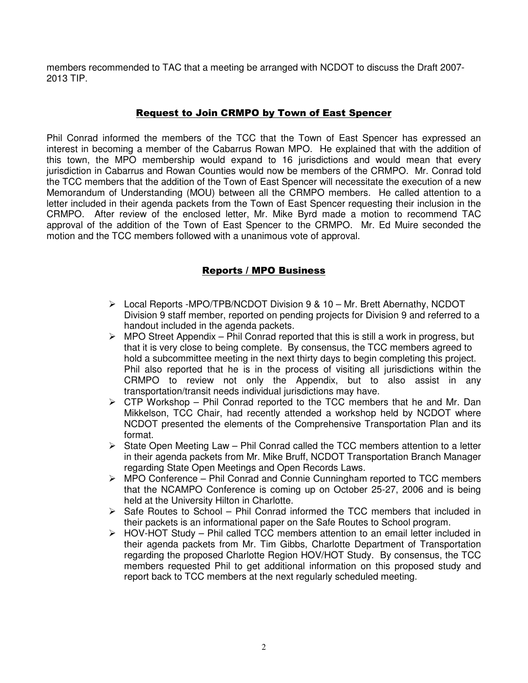members recommended to TAC that a meeting be arranged with NCDOT to discuss the Draft 2007- 2013 TIP.

# Request to Join CRMPO by Town of East Spencer

Phil Conrad informed the members of the TCC that the Town of East Spencer has expressed an interest in becoming a member of the Cabarrus Rowan MPO. He explained that with the addition of this town, the MPO membership would expand to 16 jurisdictions and would mean that every jurisdiction in Cabarrus and Rowan Counties would now be members of the CRMPO. Mr. Conrad told the TCC members that the addition of the Town of East Spencer will necessitate the execution of a new Memorandum of Understanding (MOU) between all the CRMPO members. He called attention to a letter included in their agenda packets from the Town of East Spencer requesting their inclusion in the CRMPO. After review of the enclosed letter, Mr. Mike Byrd made a motion to recommend TAC approval of the addition of the Town of East Spencer to the CRMPO. Mr. Ed Muire seconded the motion and the TCC members followed with a unanimous vote of approval.

# Reports / MPO Business

- Local Reports -MPO/TPB/NCDOT Division 9 & 10 Mr. Brett Abernathy, NCDOT Division 9 staff member, reported on pending projects for Division 9 and referred to a handout included in the agenda packets.
- $\triangleright$  MPO Street Appendix Phil Conrad reported that this is still a work in progress, but that it is very close to being complete. By consensus, the TCC members agreed to hold a subcommittee meeting in the next thirty days to begin completing this project. Phil also reported that he is in the process of visiting all jurisdictions within the CRMPO to review not only the Appendix, but to also assist in any transportation/transit needs individual jurisdictions may have.
- $\triangleright$  CTP Workshop Phil Conrad reported to the TCC members that he and Mr. Dan Mikkelson, TCC Chair, had recently attended a workshop held by NCDOT where NCDOT presented the elements of the Comprehensive Transportation Plan and its format.
- $\triangleright$  State Open Meeting Law Phil Conrad called the TCC members attention to a letter in their agenda packets from Mr. Mike Bruff, NCDOT Transportation Branch Manager regarding State Open Meetings and Open Records Laws.
- $\triangleright$  MPO Conference Phil Conrad and Connie Cunningham reported to TCC members that the NCAMPO Conference is coming up on October 25-27, 2006 and is being held at the University Hilton in Charlotte.
- $\triangleright$  Safe Routes to School Phil Conrad informed the TCC members that included in their packets is an informational paper on the Safe Routes to School program.
- $\triangleright$  HOV-HOT Study Phil called TCC members attention to an email letter included in their agenda packets from Mr. Tim Gibbs, Charlotte Department of Transportation regarding the proposed Charlotte Region HOV/HOT Study. By consensus, the TCC members requested Phil to get additional information on this proposed study and report back to TCC members at the next regularly scheduled meeting.